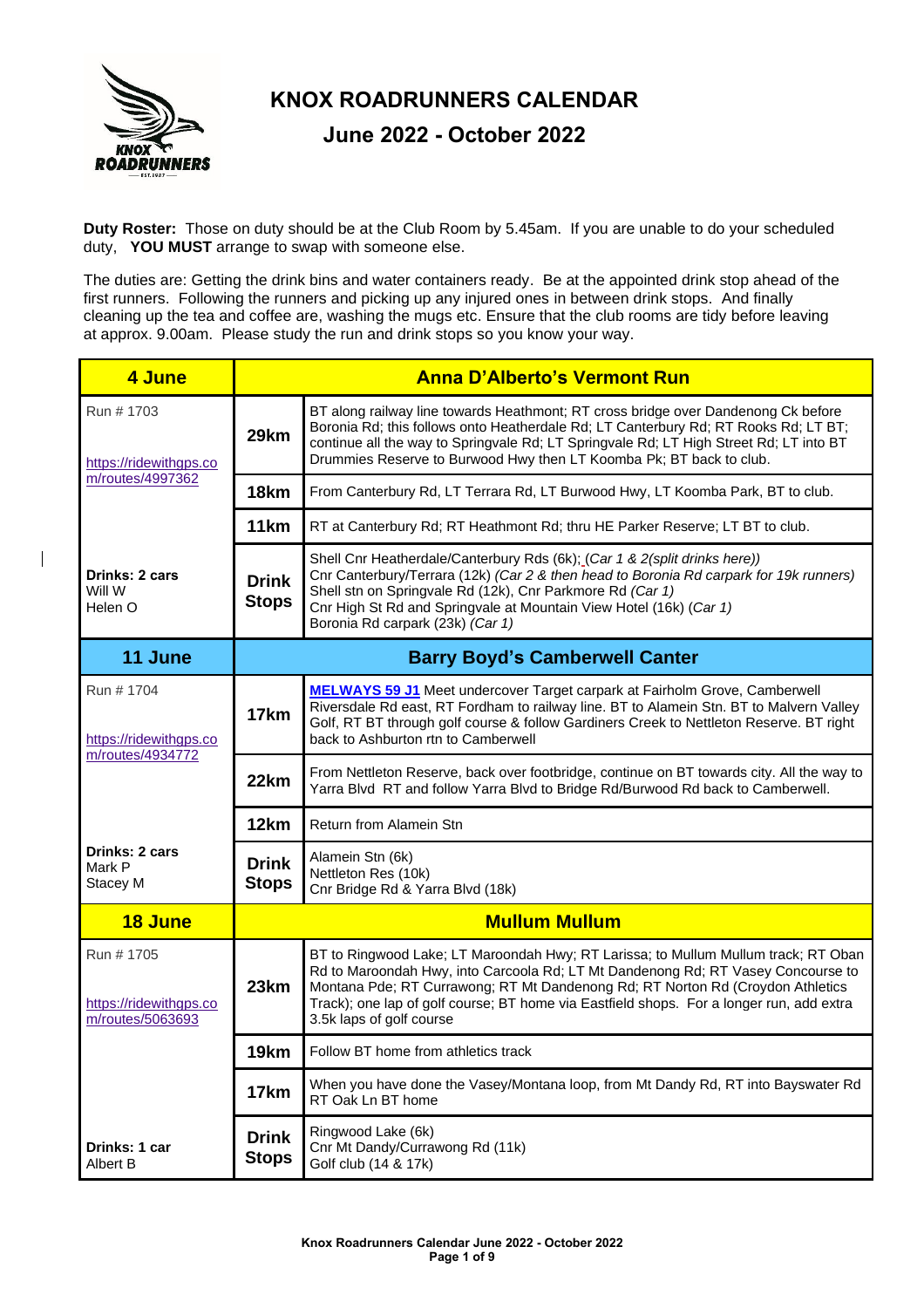

**Duty Roster:** Those on duty should be at the Club Room by 5.45am. If you are unable to do your scheduled duty, **YOU MUST** arrange to swap with someone else.

The duties are: Getting the drink bins and water containers ready. Be at the appointed drink stop ahead of the first runners. Following the runners and picking up any injured ones in between drink stops. And finally cleaning up the tea and coffee are, washing the mugs etc. Ensure that the club rooms are tidy before leaving at approx. 9.00am. Please study the run and drink stops so you know your way.

| 4 June                                                   | <b>Anna D'Alberto's Vermont Run</b> |                                                                                                                                                                                                                                                                                                                                                                                  |  |
|----------------------------------------------------------|-------------------------------------|----------------------------------------------------------------------------------------------------------------------------------------------------------------------------------------------------------------------------------------------------------------------------------------------------------------------------------------------------------------------------------|--|
| Run # 1703<br>https://ridewithgps.co                     | 29km                                | BT along railway line towards Heathmont; RT cross bridge over Dandenong Ck before<br>Boronia Rd; this follows onto Heatherdale Rd; LT Canterbury Rd; RT Rooks Rd; LT BT;<br>continue all the way to Springvale Rd; LT Springvale Rd; LT High Street Rd; LT into BT<br>Drummies Reserve to Burwood Hwy then LT Koomba Pk; BT back to club.                                        |  |
| m/routes/4997362                                         | 18km                                | From Canterbury Rd, LT Terrara Rd, LT Burwood Hwy, LT Koomba Park, BT to club.                                                                                                                                                                                                                                                                                                   |  |
|                                                          | 11 <sub>km</sub>                    | RT at Canterbury Rd; RT Heathmont Rd; thru HE Parker Reserve; LT BT to club.                                                                                                                                                                                                                                                                                                     |  |
| Drinks: 2 cars<br>Will W<br>Helen O                      | <b>Drink</b><br><b>Stops</b>        | Shell Cnr Heatherdale/Canterbury Rds (6k); (Car 1 & 2(split drinks here))<br>Cnr Canterbury/Terrara (12k) (Car 2 & then head to Boronia Rd carpark for 19k runners)<br>Shell stn on Springvale Rd (12k), Cnr Parkmore Rd (Car 1)<br>Cnr High St Rd and Springvale at Mountain View Hotel (16k) (Car 1)<br>Boronia Rd carpark (23k) (Car 1)                                       |  |
| 11 June                                                  |                                     | <b>Barry Boyd's Camberwell Canter</b>                                                                                                                                                                                                                                                                                                                                            |  |
| Run # 1704<br>https://ridewithgps.co<br>m/routes/4934772 | 17km                                | <b>MELWAYS 59 J1</b> Meet undercover Target carpark at Fairholm Grove, Camberwell<br>Riversdale Rd east, RT Fordham to railway line. BT to Alamein Stn. BT to Malvern Valley<br>Golf, RT BT through golf course & follow Gardiners Creek to Nettleton Reserve. BT right<br>back to Ashburton rtn to Camberwell                                                                   |  |
|                                                          | 22km                                | From Nettleton Reserve, back over footbridge, continue on BT towards city. All the way to<br>Yarra Blvd RT and follow Yarra Blvd to Bridge Rd/Burwood Rd back to Camberwell.                                                                                                                                                                                                     |  |
|                                                          | 12km                                | Return from Alamein Stn                                                                                                                                                                                                                                                                                                                                                          |  |
| Drinks: 2 cars<br>Mark P<br>Stacey M                     | <b>Drink</b><br><b>Stops</b>        | Alamein Stn (6k)<br>Nettleton Res (10k)<br>Cnr Bridge Rd & Yarra Blvd (18k)                                                                                                                                                                                                                                                                                                      |  |
| 18 June                                                  | <b>Mullum Mullum</b>                |                                                                                                                                                                                                                                                                                                                                                                                  |  |
| Run # 1705<br>https://ridewithgps.co<br>m/routes/5063693 | 23km                                | BT to Ringwood Lake; LT Maroondah Hwy; RT Larissa; to Mullum Mullum track; RT Oban<br>Rd to Maroondah Hwy, into Carcoola Rd; LT Mt Dandenong Rd; RT Vasey Concourse to<br>Montana Pde; RT Currawong; RT Mt Dandenong Rd; RT Norton Rd (Croydon Athletics<br>Track); one lap of golf course; BT home via Eastfield shops. For a longer run, add extra<br>3.5k laps of golf course |  |
|                                                          | 19km                                | Follow BT home from athletics track                                                                                                                                                                                                                                                                                                                                              |  |
|                                                          | 17km                                | When you have done the Vasey/Montana loop, from Mt Dandy Rd, RT into Bayswater Rd<br>RT Oak Ln BT home                                                                                                                                                                                                                                                                           |  |
| Drinks: 1 car<br>Albert B                                | <b>Drink</b><br><b>Stops</b>        | Ringwood Lake (6k)<br>Cnr Mt Dandy/Currawong Rd (11k)<br>Golf club (14 & 17k)                                                                                                                                                                                                                                                                                                    |  |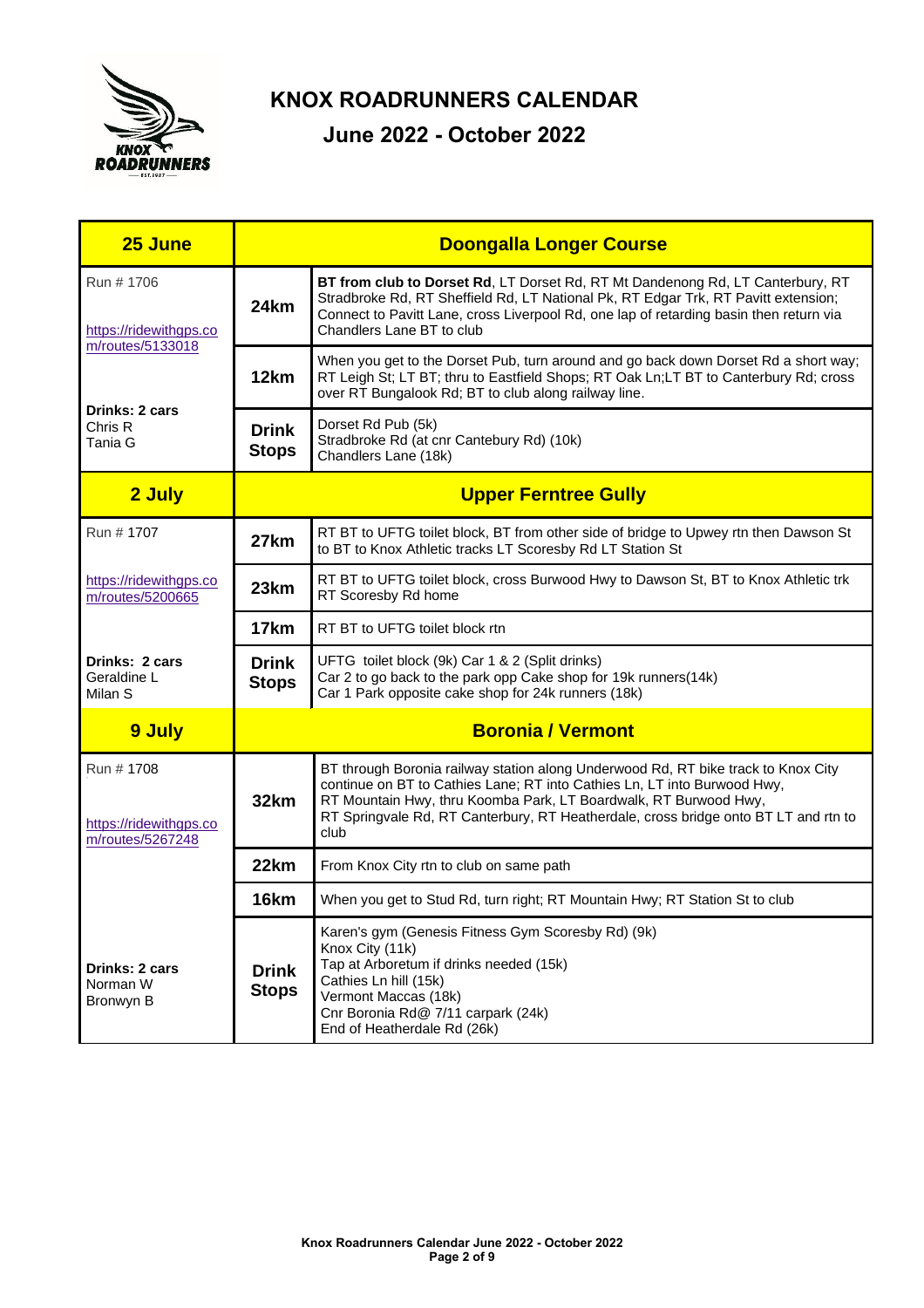

| 25 June                                                  | <b>Doongalla Longer Course</b>                                                                                                                                                                                                                                                                                                           |                                                                                                                                                                                                                                                                                                    |  |
|----------------------------------------------------------|------------------------------------------------------------------------------------------------------------------------------------------------------------------------------------------------------------------------------------------------------------------------------------------------------------------------------------------|----------------------------------------------------------------------------------------------------------------------------------------------------------------------------------------------------------------------------------------------------------------------------------------------------|--|
| Run # 1706<br>https://ridewithgps.co                     | 24km                                                                                                                                                                                                                                                                                                                                     | <b>BT from club to Dorset Rd, LT Dorset Rd, RT Mt Dandenong Rd, LT Canterbury, RT</b><br>Stradbroke Rd, RT Sheffield Rd, LT National Pk, RT Edgar Trk, RT Pavitt extension;<br>Connect to Pavitt Lane, cross Liverpool Rd, one lap of retarding basin then return via<br>Chandlers Lane BT to club |  |
| m/routes/5133018                                         | 12km                                                                                                                                                                                                                                                                                                                                     | When you get to the Dorset Pub, turn around and go back down Dorset Rd a short way;<br>RT Leigh St; LT BT; thru to Eastfield Shops; RT Oak Ln;LT BT to Canterbury Rd; cross<br>over RT Bungalook Rd; BT to club along railway line.                                                                |  |
| Drinks: 2 cars<br>Chris R<br>Tania G                     | <b>Drink</b><br><b>Stops</b>                                                                                                                                                                                                                                                                                                             | Dorset Rd Pub (5k)<br>Stradbroke Rd (at cnr Cantebury Rd) (10k)<br>Chandlers Lane (18k)                                                                                                                                                                                                            |  |
| 2 July                                                   | <b>Upper Ferntree Gully</b>                                                                                                                                                                                                                                                                                                              |                                                                                                                                                                                                                                                                                                    |  |
| Run # 1707                                               | 27km                                                                                                                                                                                                                                                                                                                                     | RT BT to UFTG toilet block, BT from other side of bridge to Upwey rtn then Dawson St<br>to BT to Knox Athletic tracks LT Scoresby Rd LT Station St                                                                                                                                                 |  |
| https://ridewithgps.co<br>m/routes/5200665               | 23km                                                                                                                                                                                                                                                                                                                                     | RT BT to UFTG toilet block, cross Burwood Hwy to Dawson St, BT to Knox Athletic trk<br>RT Scoresby Rd home                                                                                                                                                                                         |  |
|                                                          | 17km                                                                                                                                                                                                                                                                                                                                     | RT BT to UFTG toilet block rtn                                                                                                                                                                                                                                                                     |  |
| Drinks: 2 cars<br>Geraldine L<br>Milan S                 | UFTG toilet block (9k) Car 1 & 2 (Split drinks)<br><b>Drink</b><br>Car 2 to go back to the park opp Cake shop for 19k runners(14k)<br><b>Stops</b><br>Car 1 Park opposite cake shop for 24k runners (18k)                                                                                                                                |                                                                                                                                                                                                                                                                                                    |  |
| 9 July                                                   | <b>Boronia / Vermont</b>                                                                                                                                                                                                                                                                                                                 |                                                                                                                                                                                                                                                                                                    |  |
| Run # 1708<br>https://ridewithgps.co<br>m/routes/5267248 | BT through Boronia railway station along Underwood Rd, RT bike track to Knox City<br>continue on BT to Cathies Lane; RT into Cathies Ln, LT into Burwood Hwy,<br>32km<br>RT Mountain Hwy, thru Koomba Park, LT Boardwalk, RT Burwood Hwy,<br>RT Springvale Rd, RT Canterbury, RT Heatherdale, cross bridge onto BT LT and rtn to<br>club |                                                                                                                                                                                                                                                                                                    |  |
|                                                          | 22km                                                                                                                                                                                                                                                                                                                                     | From Knox City rtn to club on same path                                                                                                                                                                                                                                                            |  |
|                                                          | 16km                                                                                                                                                                                                                                                                                                                                     | When you get to Stud Rd, turn right; RT Mountain Hwy; RT Station St to club                                                                                                                                                                                                                        |  |
| Drinks: 2 cars<br>Norman W<br>Bronwyn B                  | <b>Drink</b><br><b>Stops</b>                                                                                                                                                                                                                                                                                                             | Karen's gym (Genesis Fitness Gym Scoresby Rd) (9k)<br>Knox City (11k)<br>Tap at Arboretum if drinks needed (15k)<br>Cathies Ln hill (15k)<br>Vermont Maccas (18k)<br>Cnr Boronia Rd@ 7/11 carpark (24k)<br>End of Heatherdale Rd (26k)                                                             |  |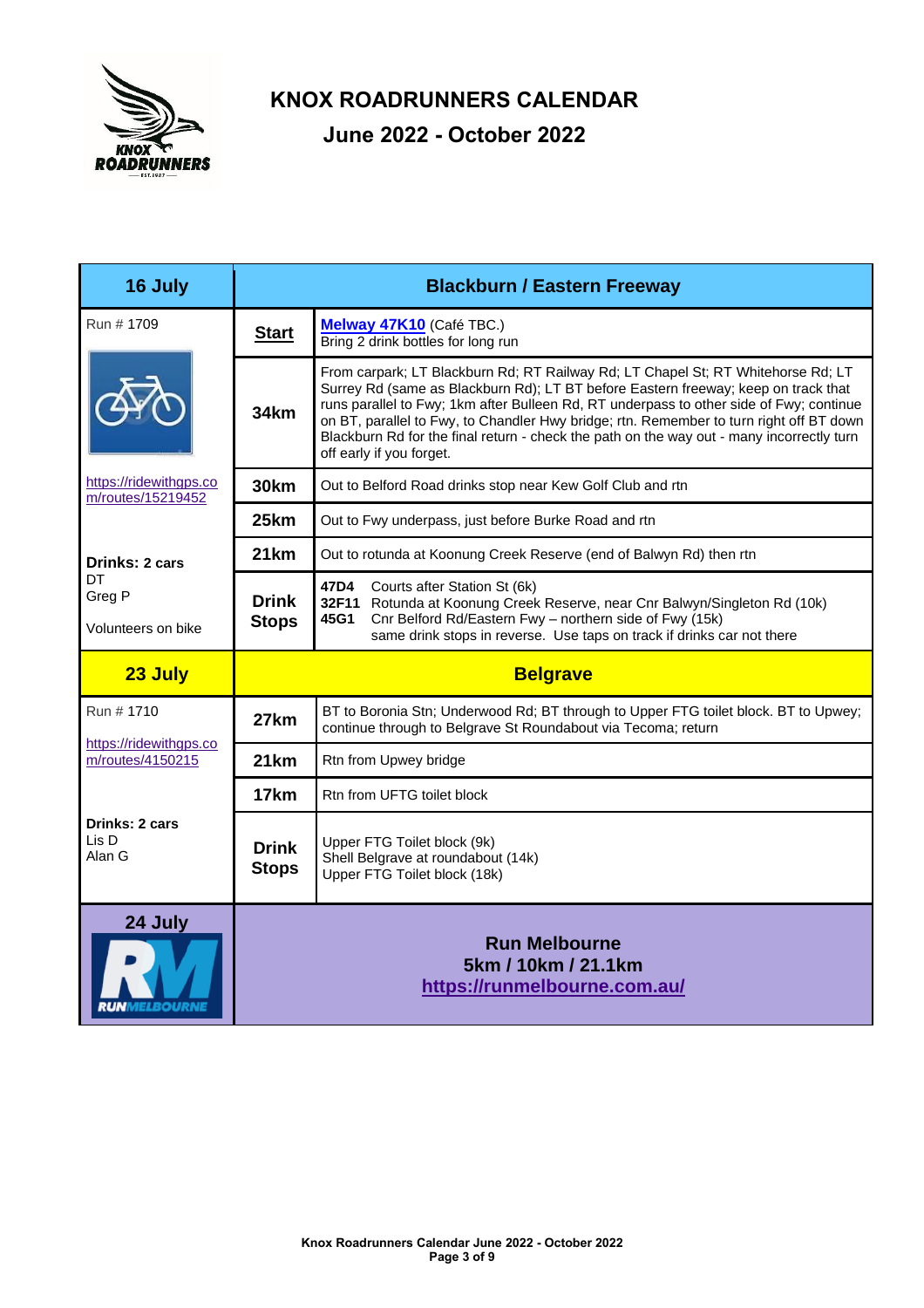

| 16 July                                     | <b>Blackburn / Eastern Freeway</b> |                                                                                                                                                                                                                                                                                                                                                                                                                                                                                       |  |  |
|---------------------------------------------|------------------------------------|---------------------------------------------------------------------------------------------------------------------------------------------------------------------------------------------------------------------------------------------------------------------------------------------------------------------------------------------------------------------------------------------------------------------------------------------------------------------------------------|--|--|
| Run # 1709                                  | <b>Start</b>                       | Melway 47K10 (Café TBC.)<br>Bring 2 drink bottles for long run                                                                                                                                                                                                                                                                                                                                                                                                                        |  |  |
|                                             | 34km                               | From carpark; LT Blackburn Rd; RT Railway Rd; LT Chapel St; RT Whitehorse Rd; LT<br>Surrey Rd (same as Blackburn Rd); LT BT before Eastern freeway; keep on track that<br>runs parallel to Fwy; 1km after Bulleen Rd, RT underpass to other side of Fwy; continue<br>on BT, parallel to Fwy, to Chandler Hwy bridge; rtn. Remember to turn right off BT down<br>Blackburn Rd for the final return - check the path on the way out - many incorrectly turn<br>off early if you forget. |  |  |
| https://ridewithgps.co<br>m/routes/15219452 | <b>30km</b>                        | Out to Belford Road drinks stop near Kew Golf Club and rtn                                                                                                                                                                                                                                                                                                                                                                                                                            |  |  |
|                                             | 25km                               | Out to Fwy underpass, just before Burke Road and rtn                                                                                                                                                                                                                                                                                                                                                                                                                                  |  |  |
| <b>Drinks: 2 cars</b>                       | 21km                               | Out to rotunda at Koonung Creek Reserve (end of Balwyn Rd) then rtn                                                                                                                                                                                                                                                                                                                                                                                                                   |  |  |
| DT<br>Greg P<br>Volunteers on bike          | <b>Drink</b><br><b>Stops</b>       | 47D4<br>Courts after Station St (6k)<br>32F11 Rotunda at Koonung Creek Reserve, near Cnr Balwyn/Singleton Rd (10k)<br>Cnr Belford Rd/Eastern Fwy - northern side of Fwy (15k)<br>45G1<br>same drink stops in reverse. Use taps on track if drinks car not there                                                                                                                                                                                                                       |  |  |
| 23 July                                     |                                    | <b>Belgrave</b>                                                                                                                                                                                                                                                                                                                                                                                                                                                                       |  |  |
| Run # 1710                                  | 27km                               | BT to Boronia Stn; Underwood Rd; BT through to Upper FTG toilet block. BT to Upwey;<br>continue through to Belgrave St Roundabout via Tecoma; return                                                                                                                                                                                                                                                                                                                                  |  |  |
| https://ridewithgps.co<br>m/routes/4150215  | 21km                               | Rtn from Upwey bridge                                                                                                                                                                                                                                                                                                                                                                                                                                                                 |  |  |
|                                             | 17 <sub>km</sub>                   | Rtn from UFTG toilet block                                                                                                                                                                                                                                                                                                                                                                                                                                                            |  |  |
| Drinks: 2 cars<br>Lis D<br>Alan G           | Drink<br><b>Stops</b>              | Upper FTG Toilet block (9k)<br>Shell Belgrave at roundabout (14k)<br>Upper FTG Toilet block (18k)                                                                                                                                                                                                                                                                                                                                                                                     |  |  |
| 24 July                                     |                                    | <b>Run Melbourne</b><br>5km / 10km / 21.1km<br>https://runmelbourne.com.au/                                                                                                                                                                                                                                                                                                                                                                                                           |  |  |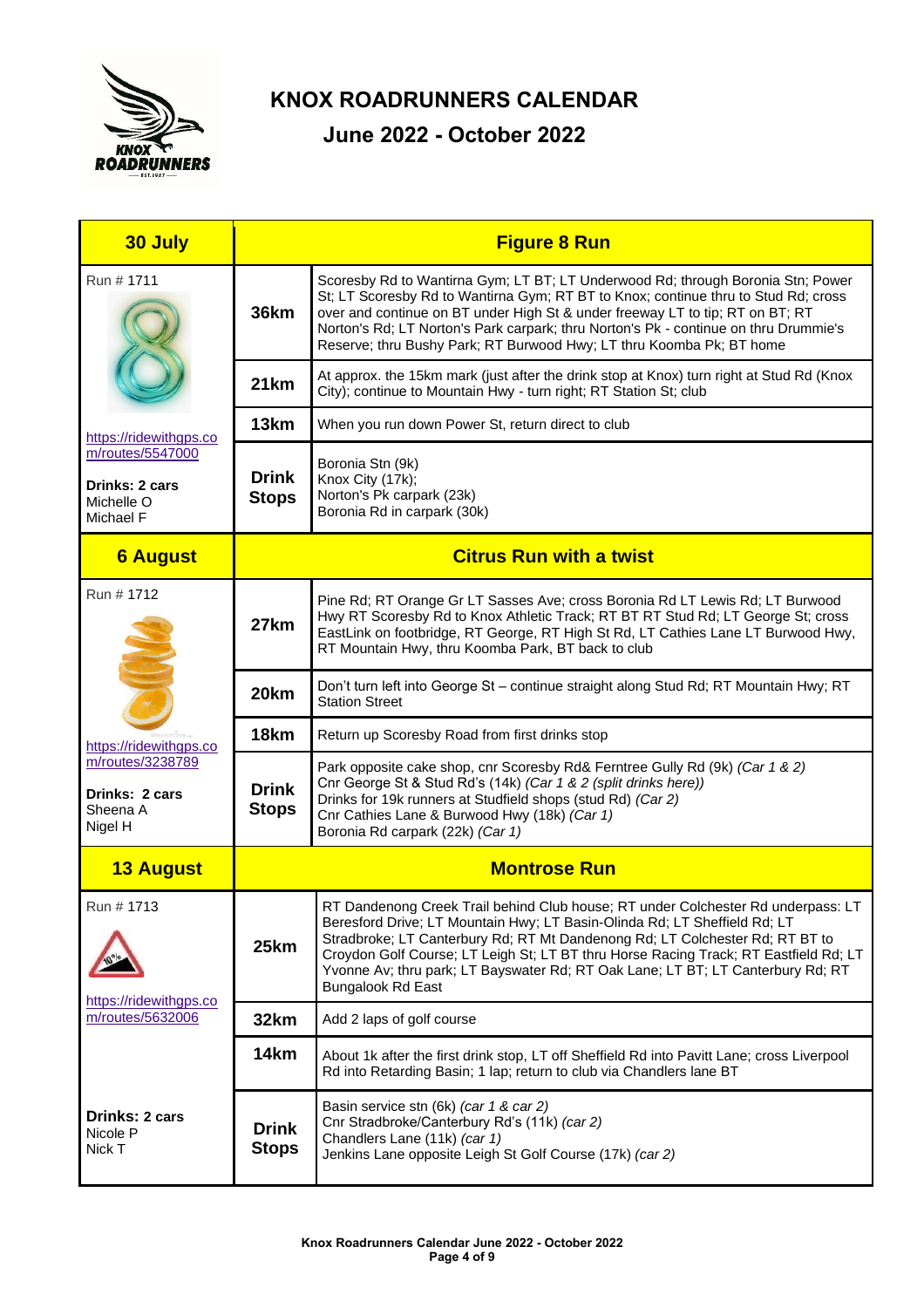

| 30 July                                                       | <b>Figure 8 Run</b>          |                                                                                                                                                                                                                                                                                                                                                                                                                                                      |  |  |
|---------------------------------------------------------------|------------------------------|------------------------------------------------------------------------------------------------------------------------------------------------------------------------------------------------------------------------------------------------------------------------------------------------------------------------------------------------------------------------------------------------------------------------------------------------------|--|--|
| Run # 1711                                                    | <b>36km</b>                  | Scoresby Rd to Wantirna Gym; LT BT; LT Underwood Rd; through Boronia Stn; Power<br>St; LT Scoresby Rd to Wantirna Gym; RT BT to Knox; continue thru to Stud Rd; cross<br>over and continue on BT under High St & under freeway LT to tip; RT on BT; RT<br>Norton's Rd; LT Norton's Park carpark; thru Norton's Pk - continue on thru Drummie's<br>Reserve; thru Bushy Park; RT Burwood Hwy; LT thru Koomba Pk; BT home                               |  |  |
|                                                               | 21km                         | At approx. the 15km mark (just after the drink stop at Knox) turn right at Stud Rd (Knox<br>City); continue to Mountain Hwy - turn right; RT Station St; club                                                                                                                                                                                                                                                                                        |  |  |
| https://ridewithgps.co                                        | 13km                         | When you run down Power St, return direct to club                                                                                                                                                                                                                                                                                                                                                                                                    |  |  |
| m/routes/5547000<br>Drinks: 2 cars<br>Michelle O<br>Michael F | <b>Drink</b><br><b>Stops</b> | Boronia Stn (9k)<br>Knox City (17k);<br>Norton's Pk carpark (23k)<br>Boronia Rd in carpark (30k)                                                                                                                                                                                                                                                                                                                                                     |  |  |
| <b>6 August</b>                                               |                              | <b>Citrus Run with a twist</b>                                                                                                                                                                                                                                                                                                                                                                                                                       |  |  |
| Run # 1712                                                    | 27km                         | Pine Rd; RT Orange Gr LT Sasses Ave; cross Boronia Rd LT Lewis Rd; LT Burwood<br>Hwy RT Scoresby Rd to Knox Athletic Track; RT BT RT Stud Rd; LT George St; cross<br>EastLink on footbridge, RT George, RT High St Rd, LT Cathies Lane LT Burwood Hwy,<br>RT Mountain Hwy, thru Koomba Park, BT back to club                                                                                                                                         |  |  |
|                                                               | 20km                         | Don't turn left into George St - continue straight along Stud Rd; RT Mountain Hwy; RT<br><b>Station Street</b>                                                                                                                                                                                                                                                                                                                                       |  |  |
| https://ridewithgps.co                                        | 18 <sub>km</sub>             | Return up Scoresby Road from first drinks stop                                                                                                                                                                                                                                                                                                                                                                                                       |  |  |
| m/routes/3238789<br>Drinks: 2 cars<br>Sheena A<br>Nigel H     | <b>Drink</b><br><b>Stops</b> | Park opposite cake shop, cnr Scoresby Rd& Ferntree Gully Rd (9k) (Car 1 & 2)<br>Cnr George St & Stud Rd's (14k) (Car 1 & 2 (split drinks here))<br>Drinks for 19k runners at Studfield shops (stud Rd) (Car 2)<br>Cnr Cathies Lane & Burwood Hwy (18k) (Car 1)<br>Boronia Rd carpark (22k) (Car 1)                                                                                                                                                   |  |  |
| <b>13 August</b>                                              | <b>Montrose Run</b>          |                                                                                                                                                                                                                                                                                                                                                                                                                                                      |  |  |
| Run # 1713                                                    | 25km                         | RT Dandenong Creek Trail behind Club house; RT under Colchester Rd underpass: LT<br>Beresford Drive; LT Mountain Hwy; LT Basin-Olinda Rd; LT Sheffield Rd; LT<br>Stradbroke; LT Canterbury Rd; RT Mt Dandenong Rd; LT Colchester Rd; RT BT to<br>Croydon Golf Course; LT Leigh St; LT BT thru Horse Racing Track; RT Eastfield Rd; LT<br>Yvonne Av; thru park; LT Bayswater Rd; RT Oak Lane; LT BT; LT Canterbury Rd; RT<br><b>Bungalook Rd East</b> |  |  |
| https://ridewithgps.co<br>m/routes/5632006                    | 32km                         | Add 2 laps of golf course                                                                                                                                                                                                                                                                                                                                                                                                                            |  |  |
|                                                               | 14km                         | About 1k after the first drink stop, LT off Sheffield Rd into Pavitt Lane; cross Liverpool<br>Rd into Retarding Basin; 1 lap; return to club via Chandlers lane BT                                                                                                                                                                                                                                                                                   |  |  |
| <b>Drinks: 2 cars</b><br>Nicole P<br>Nick T                   | <b>Drink</b><br><b>Stops</b> | Basin service stn (6k) (car 1 & car 2)<br>Cnr Stradbroke/Canterbury Rd's (11k) (car 2)<br>Chandlers Lane (11k) (car 1)<br>Jenkins Lane opposite Leigh St Golf Course (17k) (car 2)                                                                                                                                                                                                                                                                   |  |  |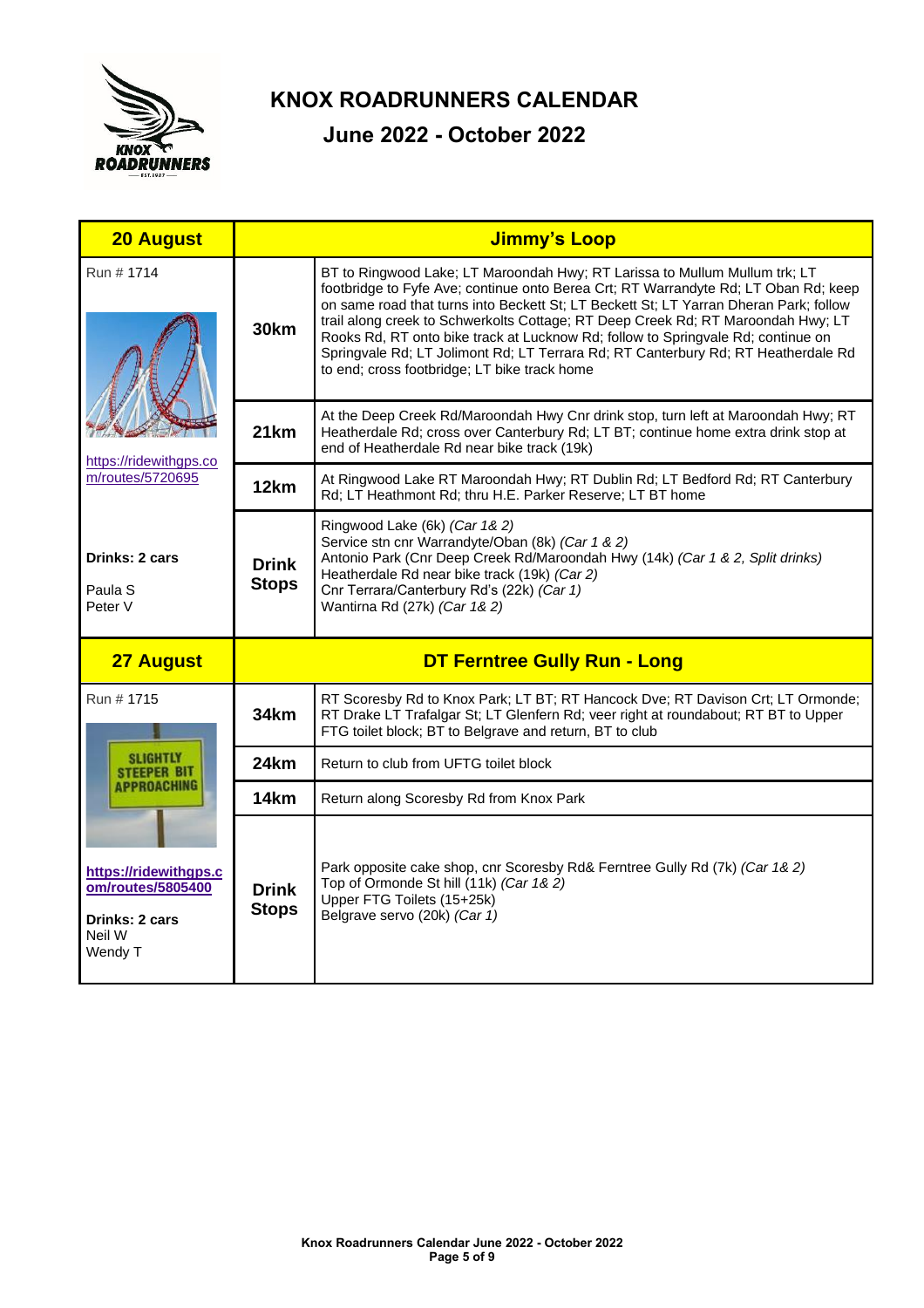

| <b>20 August</b>                                         | <b>Jimmy's Loop</b>                 |                                                                                                                                                                                                                                                                                                                                                                                                                                                                                                                                                                         |  |
|----------------------------------------------------------|-------------------------------------|-------------------------------------------------------------------------------------------------------------------------------------------------------------------------------------------------------------------------------------------------------------------------------------------------------------------------------------------------------------------------------------------------------------------------------------------------------------------------------------------------------------------------------------------------------------------------|--|
| Run # 1714<br>https://ridewithgps.co<br>m/routes/5720695 | <b>30km</b>                         | BT to Ringwood Lake; LT Maroondah Hwy; RT Larissa to Mullum Mullum trk; LT<br>footbridge to Fyfe Ave; continue onto Berea Crt; RT Warrandyte Rd; LT Oban Rd; keep<br>on same road that turns into Beckett St; LT Beckett St; LT Yarran Dheran Park; follow<br>trail along creek to Schwerkolts Cottage; RT Deep Creek Rd; RT Maroondah Hwy; LT<br>Rooks Rd, RT onto bike track at Lucknow Rd; follow to Springvale Rd; continue on<br>Springvale Rd; LT Jolimont Rd; LT Terrara Rd; RT Canterbury Rd; RT Heatherdale Rd<br>to end; cross footbridge; LT bike track home |  |
|                                                          | 21km                                | At the Deep Creek Rd/Maroondah Hwy Cnr drink stop, turn left at Maroondah Hwy; RT<br>Heatherdale Rd; cross over Canterbury Rd; LT BT; continue home extra drink stop at<br>end of Heatherdale Rd near bike track (19k)                                                                                                                                                                                                                                                                                                                                                  |  |
|                                                          | 12km                                | At Ringwood Lake RT Maroondah Hwy; RT Dublin Rd; LT Bedford Rd; RT Canterbury<br>Rd; LT Heathmont Rd; thru H.E. Parker Reserve; LT BT home                                                                                                                                                                                                                                                                                                                                                                                                                              |  |
| Drinks: 2 cars<br>Paula S<br>Peter V                     | <b>Drink</b><br><b>Stops</b>        | Ringwood Lake (6k) (Car 1& 2)<br>Service stn cnr Warrandyte/Oban (8k) (Car 1 & 2)<br>Antonio Park (Cnr Deep Creek Rd/Maroondah Hwy (14k) (Car 1 & 2, Split drinks)<br>Heatherdale Rd near bike track (19k) (Car 2)<br>Cnr Terrara/Canterbury Rd's (22k) (Car 1)<br>Wantirna Rd (27k) (Car 1& 2)                                                                                                                                                                                                                                                                         |  |
| <b>27 August</b>                                         | <b>DT Ferntree Gully Run - Long</b> |                                                                                                                                                                                                                                                                                                                                                                                                                                                                                                                                                                         |  |
| Run # 1715                                               | 34km                                | RT Scoresby Rd to Knox Park; LT BT; RT Hancock Dve; RT Davison Crt; LT Ormonde;                                                                                                                                                                                                                                                                                                                                                                                                                                                                                         |  |
|                                                          |                                     | RT Drake LT Trafalgar St; LT Glenfern Rd; veer right at roundabout; RT BT to Upper<br>FTG toilet block; BT to Belgrave and return, BT to club                                                                                                                                                                                                                                                                                                                                                                                                                           |  |
| <b>SLIGHTLY</b><br><b>STEEPER BIT</b>                    | 24km                                | Return to club from UFTG toilet block                                                                                                                                                                                                                                                                                                                                                                                                                                                                                                                                   |  |
| APPROACHING                                              | 14 <sub>km</sub>                    | Return along Scoresby Rd from Knox Park                                                                                                                                                                                                                                                                                                                                                                                                                                                                                                                                 |  |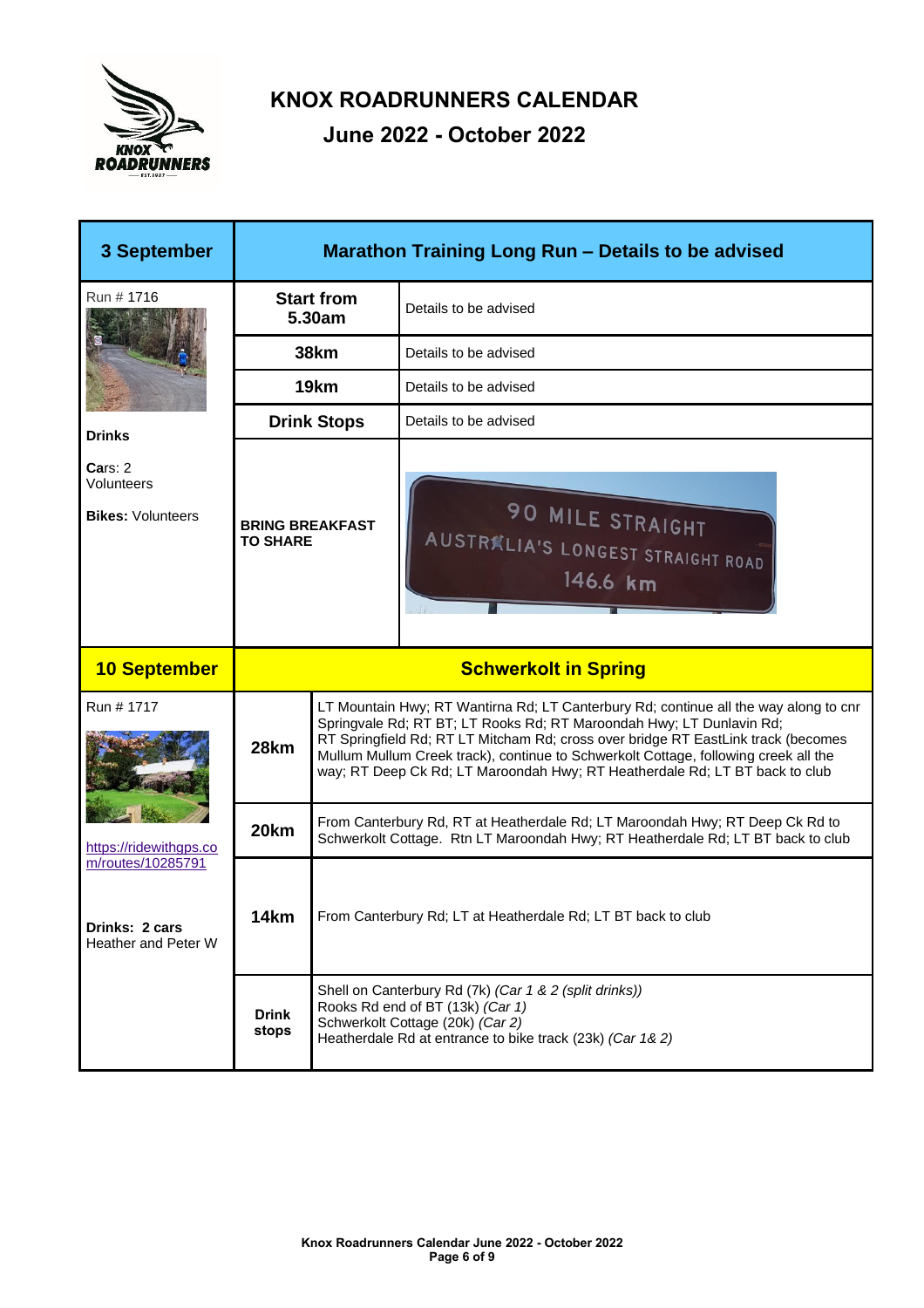

| 3 September                                                | Marathon Training Long Run - Details to be advised |                                                                                                                                                                 |                                                                                                                                                                                                                                                                                                                                                                                                                         |
|------------------------------------------------------------|----------------------------------------------------|-----------------------------------------------------------------------------------------------------------------------------------------------------------------|-------------------------------------------------------------------------------------------------------------------------------------------------------------------------------------------------------------------------------------------------------------------------------------------------------------------------------------------------------------------------------------------------------------------------|
| Run # 1716                                                 | <b>Start from</b><br>5.30am                        |                                                                                                                                                                 | Details to be advised                                                                                                                                                                                                                                                                                                                                                                                                   |
| <b>Drinks</b>                                              | <b>38km</b>                                        |                                                                                                                                                                 | Details to be advised                                                                                                                                                                                                                                                                                                                                                                                                   |
|                                                            | 19km                                               |                                                                                                                                                                 | Details to be advised                                                                                                                                                                                                                                                                                                                                                                                                   |
|                                                            | <b>Drink Stops</b>                                 |                                                                                                                                                                 | Details to be advised                                                                                                                                                                                                                                                                                                                                                                                                   |
| Cars: 2<br>Volunteers<br><b>Bikes: Volunteers</b>          | <b>BRING BREAKFAST</b><br><b>TO SHARE</b>          |                                                                                                                                                                 | <b>90 MILE STRAIGHT</b><br><b>AUSTRALIA'S LONGEST STRAIGHT ROAD</b><br>146.6 km                                                                                                                                                                                                                                                                                                                                         |
| <b>10 September</b>                                        | <b>Schwerkolt in Spring</b>                        |                                                                                                                                                                 |                                                                                                                                                                                                                                                                                                                                                                                                                         |
| Run # 1717<br>https://ridewithgps.co                       | 28km                                               |                                                                                                                                                                 | LT Mountain Hwy; RT Wantirna Rd; LT Canterbury Rd; continue all the way along to cnr<br>Springvale Rd; RT BT; LT Rooks Rd; RT Maroondah Hwy; LT Dunlavin Rd;<br>RT Springfield Rd; RT LT Mitcham Rd; cross over bridge RT EastLink track (becomes<br>Mullum Mullum Creek track), continue to Schwerkolt Cottage, following creek all the<br>way; RT Deep Ck Rd; LT Maroondah Hwy; RT Heatherdale Rd; LT BT back to club |
|                                                            | 20 <sub>km</sub>                                   | From Canterbury Rd, RT at Heatherdale Rd; LT Maroondah Hwy; RT Deep Ck Rd to<br>Schwerkolt Cottage. Rtn LT Maroondah Hwy; RT Heatherdale Rd; LT BT back to club |                                                                                                                                                                                                                                                                                                                                                                                                                         |
| m/routes/10285791<br>Drinks: 2 cars<br>Heather and Peter W | 14km                                               | From Canterbury Rd; LT at Heatherdale Rd; LT BT back to club                                                                                                    |                                                                                                                                                                                                                                                                                                                                                                                                                         |
|                                                            | <b>Drink</b><br>stops                              |                                                                                                                                                                 | Shell on Canterbury Rd (7k) (Car 1 & 2 (split drinks))<br>Rooks Rd end of BT (13k) (Car 1)<br>Schwerkolt Cottage (20k) (Car 2)<br>Heatherdale Rd at entrance to bike track (23k) (Car 1& 2)                                                                                                                                                                                                                             |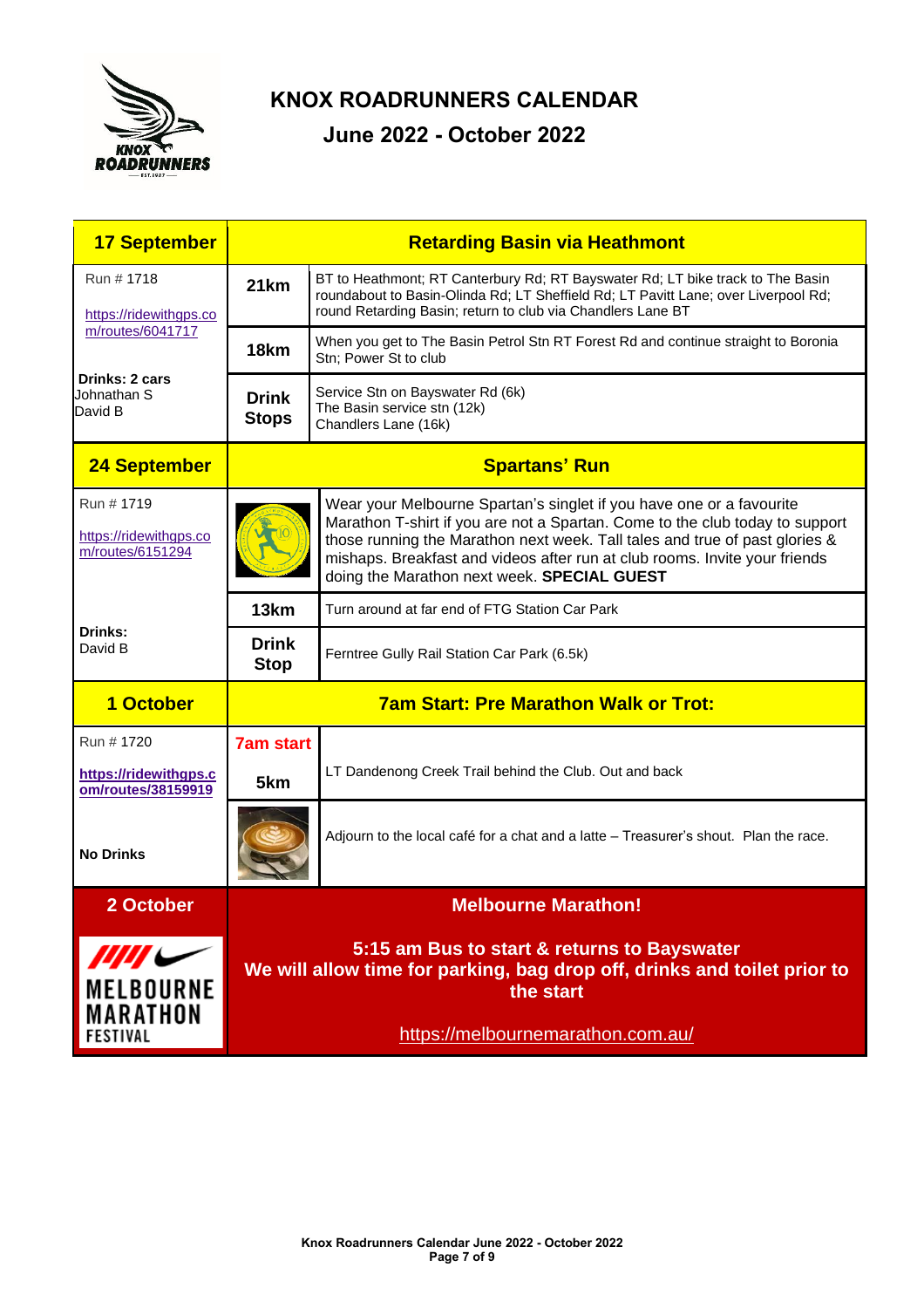

| <b>17 September</b>                                       | <b>Retarding Basin via Heathmont</b>                                                                                    |                                                                                                                                                                                                                                                                                                                                                                  |  |
|-----------------------------------------------------------|-------------------------------------------------------------------------------------------------------------------------|------------------------------------------------------------------------------------------------------------------------------------------------------------------------------------------------------------------------------------------------------------------------------------------------------------------------------------------------------------------|--|
| Run # 1718<br>https://ridewithgps.co                      | 21km                                                                                                                    | BT to Heathmont; RT Canterbury Rd; RT Bayswater Rd; LT bike track to The Basin<br>roundabout to Basin-Olinda Rd; LT Sheffield Rd; LT Pavitt Lane; over Liverpool Rd;<br>round Retarding Basin; return to club via Chandlers Lane BT                                                                                                                              |  |
| m/routes/6041717                                          | 18 <sub>km</sub>                                                                                                        | When you get to The Basin Petrol Stn RT Forest Rd and continue straight to Boronia<br>Stn; Power St to club                                                                                                                                                                                                                                                      |  |
| Drinks: 2 cars<br>Johnathan S<br>David B                  | Service Stn on Bayswater Rd (6k)<br><b>Drink</b><br>The Basin service stn (12k)<br><b>Stops</b><br>Chandlers Lane (16k) |                                                                                                                                                                                                                                                                                                                                                                  |  |
| 24 September                                              | <b>Spartans' Run</b>                                                                                                    |                                                                                                                                                                                                                                                                                                                                                                  |  |
| Run # 1719<br>https://ridewithgps.co<br>m/routes/6151294  |                                                                                                                         | Wear your Melbourne Spartan's singlet if you have one or a favourite<br>Marathon T-shirt if you are not a Spartan. Come to the club today to support<br>those running the Marathon next week. Tall tales and true of past glories &<br>mishaps. Breakfast and videos after run at club rooms. Invite your friends<br>doing the Marathon next week. SPECIAL GUEST |  |
|                                                           | 13 <sub>km</sub>                                                                                                        | Turn around at far end of FTG Station Car Park                                                                                                                                                                                                                                                                                                                   |  |
| Drinks:<br>David B                                        | <b>Drink</b><br><b>Stop</b>                                                                                             | Ferntree Gully Rail Station Car Park (6.5k)                                                                                                                                                                                                                                                                                                                      |  |
| 1 October                                                 | <b>7am Start: Pre Marathon Walk or Trot:</b>                                                                            |                                                                                                                                                                                                                                                                                                                                                                  |  |
| Run # 1720<br>https://ridewithgps.c<br>om/routes/38159919 | <b>7am start</b><br>5km                                                                                                 | LT Dandenong Creek Trail behind the Club. Out and back                                                                                                                                                                                                                                                                                                           |  |
| <b>No Drinks</b>                                          |                                                                                                                         | Adjourn to the local café for a chat and a latte - Treasurer's shout. Plan the race.                                                                                                                                                                                                                                                                             |  |
| 2 October                                                 |                                                                                                                         | <b>Melbourne Marathon!</b>                                                                                                                                                                                                                                                                                                                                       |  |
| $\mu\mu\mu$<br><b>MELBOURNE</b><br>MARATHON<br>FESTIVAL   |                                                                                                                         | 5:15 am Bus to start & returns to Bayswater<br>We will allow time for parking, bag drop off, drinks and toilet prior to<br>the start<br>https://melbournemarathon.com.au/                                                                                                                                                                                        |  |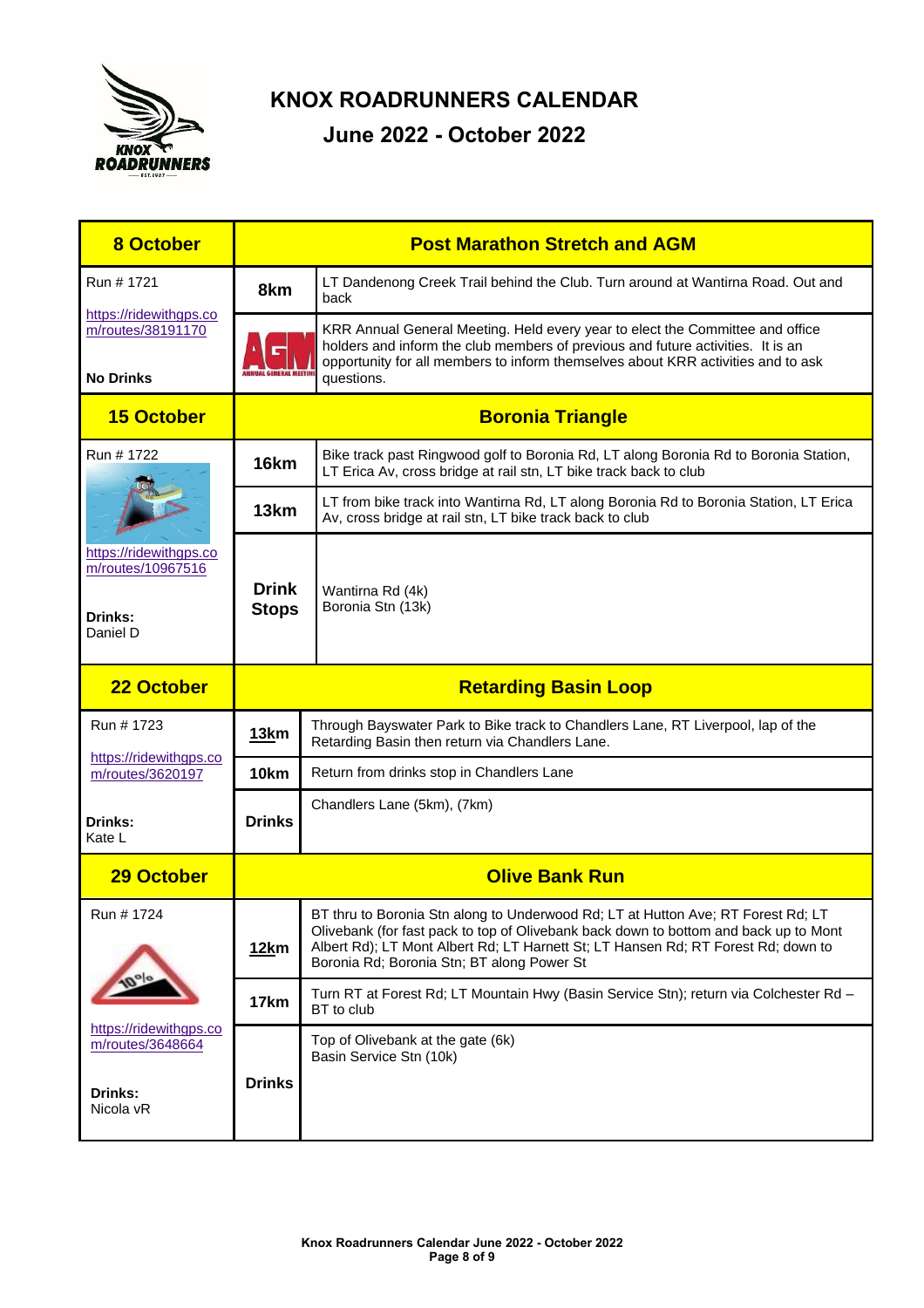

| <b>8 October</b>                                                   | <b>Post Marathon Stretch and AGM</b>                                                                                                        |                                                                                                                                                                                                                                                                                                             |  |
|--------------------------------------------------------------------|---------------------------------------------------------------------------------------------------------------------------------------------|-------------------------------------------------------------------------------------------------------------------------------------------------------------------------------------------------------------------------------------------------------------------------------------------------------------|--|
| Run # 1721                                                         | 8km                                                                                                                                         | LT Dandenong Creek Trail behind the Club. Turn around at Wantirna Road. Out and<br>back                                                                                                                                                                                                                     |  |
| https://ridewithgps.co<br>m/routes/38191170<br><b>No Drinks</b>    | MNHIAI GENERAL MEETH                                                                                                                        | KRR Annual General Meeting. Held every year to elect the Committee and office<br>holders and inform the club members of previous and future activities. It is an<br>opportunity for all members to inform themselves about KRR activities and to ask<br>questions.                                          |  |
| <b>15 October</b>                                                  | <b>Boronia Triangle</b>                                                                                                                     |                                                                                                                                                                                                                                                                                                             |  |
| Run # 1722                                                         | 16km                                                                                                                                        | Bike track past Ringwood golf to Boronia Rd, LT along Boronia Rd to Boronia Station,<br>LT Erica Av, cross bridge at rail stn, LT bike track back to club                                                                                                                                                   |  |
|                                                                    | 13 <sub>km</sub>                                                                                                                            | LT from bike track into Wantirna Rd, LT along Boronia Rd to Boronia Station, LT Erica<br>Av, cross bridge at rail stn, LT bike track back to club                                                                                                                                                           |  |
| https://ridewithgps.co<br>m/routes/10967516<br>Drinks:<br>Daniel D | <b>Drink</b><br><b>Stops</b>                                                                                                                | Wantirna Rd (4k)<br>Boronia Stn (13k)                                                                                                                                                                                                                                                                       |  |
| 22 October                                                         | <b>Retarding Basin Loop</b>                                                                                                                 |                                                                                                                                                                                                                                                                                                             |  |
| Run # 1723                                                         | Through Bayswater Park to Bike track to Chandlers Lane, RT Liverpool, lap of the<br>13km<br>Retarding Basin then return via Chandlers Lane. |                                                                                                                                                                                                                                                                                                             |  |
| https://ridewithgps.co<br>m/routes/3620197                         | <b>10km</b>                                                                                                                                 | Return from drinks stop in Chandlers Lane                                                                                                                                                                                                                                                                   |  |
| <b>Drinks:</b><br>Kate L                                           | Chandlers Lane (5km), (7km)<br><b>Drinks</b>                                                                                                |                                                                                                                                                                                                                                                                                                             |  |
| <b>29 October</b>                                                  | <b>Olive Bank Run</b>                                                                                                                       |                                                                                                                                                                                                                                                                                                             |  |
| Run # 1724                                                         | 12km                                                                                                                                        | BT thru to Boronia Stn along to Underwood Rd; LT at Hutton Ave; RT Forest Rd; LT<br>Olivebank (for fast pack to top of Olivebank back down to bottom and back up to Mont<br>Albert Rd); LT Mont Albert Rd; LT Harnett St; LT Hansen Rd; RT Forest Rd; down to<br>Boronia Rd; Boronia Stn; BT along Power St |  |
|                                                                    | 17km                                                                                                                                        | Turn RT at Forest Rd; LT Mountain Hwy (Basin Service Stn); return via Colchester Rd -<br>BT to club                                                                                                                                                                                                         |  |
| https://ridewithgps.co<br>m/routes/3648664                         |                                                                                                                                             | Top of Olivebank at the gate (6k)<br>Basin Service Stn (10k)                                                                                                                                                                                                                                                |  |
| Drinks:<br>Nicola vR                                               | <b>Drinks</b>                                                                                                                               |                                                                                                                                                                                                                                                                                                             |  |